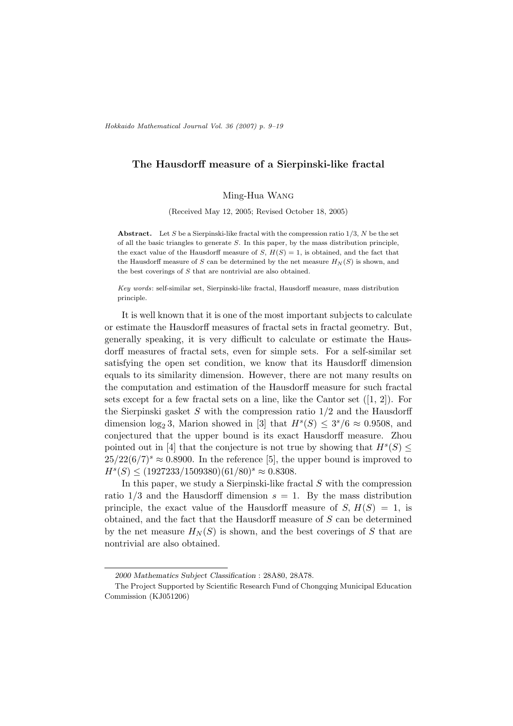# The Hausdorff measure of a Sierpinski-like fractal

Ming-Hua Wang

(Received May 12, 2005; Revised October 18, 2005)

**Abstract.** Let S be a Sierpinski-like fractal with the compression ratio  $1/3$ , N be the set of all the basic triangles to generate  $S$ . In this paper, by the mass distribution principle, the exact value of the Hausdorff measure of  $S, H(S) = 1$ , is obtained, and the fact that the Hausdorff measure of S can be determined by the net measure  $H_N(S)$  is shown, and the best coverings of S that are nontrivial are also obtained.

Key words: self-similar set, Sierpinski-like fractal, Hausdorff measure, mass distribution principle.

It is well known that it is one of the most important subjects to calculate or estimate the Hausdorff measures of fractal sets in fractal geometry. But, generally speaking, it is very difficult to calculate or estimate the Hausdorff measures of fractal sets, even for simple sets. For a self-similar set satisfying the open set condition, we know that its Hausdorff dimension equals to its similarity dimension. However, there are not many results on the computation and estimation of the Hausdorff measure for such fractal sets except for a few fractal sets on a line, like the Cantor set  $([1, 2])$ . For the Sierpinski gasket  $S$  with the compression ratio  $1/2$  and the Hausdorff dimension  $log_2 3$ , Marion showed in [3] that  $H^s(S) \leq 3^s/6 \approx 0.9508$ , and conjectured that the upper bound is its exact Hausdorff measure. Zhou pointed out in [4] that the conjecture is not true by showing that  $H<sup>s</sup>(S) \leq$  $25/22(6/7)^s \approx 0.8900$ . In the reference [5], the upper bound is improved to  $H^s(S) \leq (1927233/1509380)(61/80)^s \approx 0.8308.$ 

In this paper, we study a Sierpinski-like fractal S with the compression ratio  $1/3$  and the Hausdorff dimension  $s = 1$ . By the mass distribution principle, the exact value of the Hausdorff measure of  $S, H(S) = 1$ , is obtained, and the fact that the Hausdorff measure of S can be determined by the net measure  $H_N(S)$  is shown, and the best coverings of S that are nontrivial are also obtained.

<sup>2000</sup> Mathematics Subject Classification : 28A80, 28A78.

The Project Supported by Scientific Research Fund of Chongqing Municipal Education Commission (KJ051206)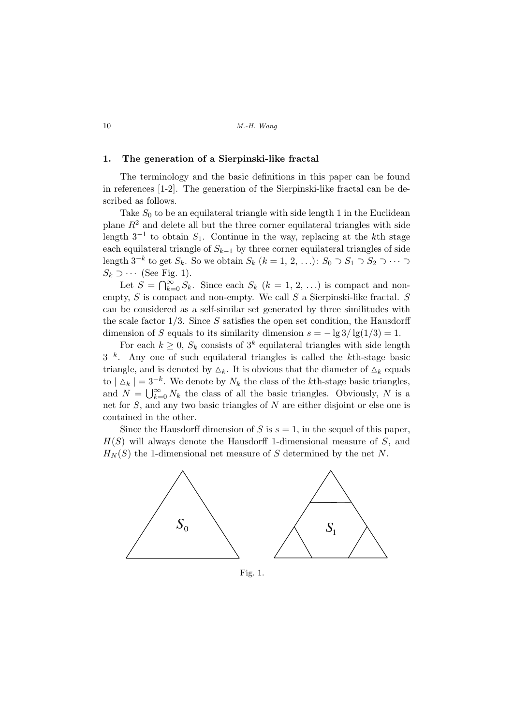#### 1. The generation of a Sierpinski-like fractal

The terminology and the basic definitions in this paper can be found in references [1-2]. The generation of the Sierpinski-like fractal can be described as follows.

Take  $S_0$  to be an equilateral triangle with side length 1 in the Euclidean plane  $R<sup>2</sup>$  and delete all but the three corner equilateral triangles with side length  $3^{-1}$  to obtain  $S_1$ . Continue in the way, replacing at the kth stage each equilateral triangle of  $S_{k-1}$  by three corner equilateral triangles of side length  $3^{-k}$  to get  $S_k$ . So we obtain  $S_k$   $(k = 1, 2, ...)$ :  $S_0 \supset S_1 \supset S_2 \supset \cdots \supset$  $S_k \supset \cdots$  (See Fig. 1).

Let  $S = \bigcap_{k=1}^{\infty}$  $\sum_{k=0}^{\infty} S_k$ . Since each  $S_k$   $(k = 1, 2, ...)$  is compact and nonempty,  $S$  is compact and non-empty. We call  $S$  a Sierpinski-like fractal.  $S$ can be considered as a self-similar set generated by three similitudes with the scale factor  $1/3$ . Since S satisfies the open set condition, the Hausdorff dimension of S equals to its similarity dimension  $s = -\lg 3/\lg(1/3) = 1$ .

For each  $k \geq 0$ ,  $S_k$  consists of  $3^k$  equilateral triangles with side length  $3^{-k}$ . Any one of such equilateral triangles is called the kth-stage basic triangle, and is denoted by  $\Delta_k$ . It is obvious that the diameter of  $\Delta_k$  equals to  $|\Delta_k| = 3^{-k}$ . We denote by  $N_k$  the class of the kth-stage basic triangles,  $N_k$  is a small  $N_k = \frac{1}{\infty} N_k$  the class of all the basic triangles. Obviously,  $N_k$  is a and  $N = \bigcup_{k=0}^{\infty} N_k$  the class of all the basic triangles. Obviously, N is a net for S, and any two basic triangles of N are either disjoint or else one is contained in the other.

Since the Hausdorff dimension of S is  $s = 1$ , in the sequel of this paper,  $H(S)$  will always denote the Hausdorff 1-dimensional measure of S, and  $H_N(S)$  the 1-dimensional net measure of S determined by the net N.



Fig. 1.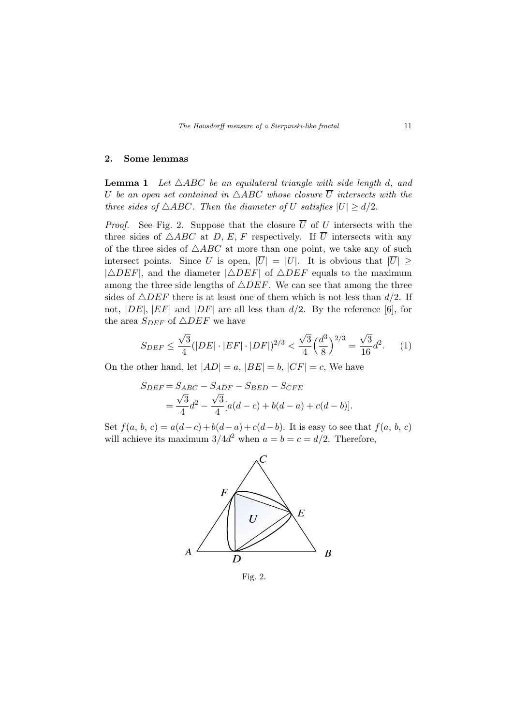#### 2. Some lemmas

**Lemma 1** Let  $\triangle ABC$  be an equilateral triangle with side length d, and U be an open set contained in  $\triangle ABC$  whose closure  $\overline{U}$  intersects with the three sides of  $\triangle ABC$ . Then the diameter of U satisfies  $|U| \ge d/2$ .

*Proof.* See Fig. 2. Suppose that the closure  $\overline{U}$  of U intersects with the three sides of  $\triangle ABC$  at D, E, F respectively. If  $\overline{U}$  intersects with any of the three sides of  $\triangle ABC$  at more than one point, we take any of such intersect points. Since U is open,  $|\overline{U}| = |U|$ . It is obvious that  $|\overline{U}| \ge$  $|\triangle DEF|$ , and the diameter  $|\triangle DEF|$  of  $\triangle DEF$  equals to the maximum among the three side lengths of  $\triangle DEF$ . We can see that among the three sides of  $\triangle DEF$  there is at least one of them which is not less than  $d/2$ . If not,  $|DE|$ ,  $|EF|$  and  $|DF|$  are all less than  $d/2$ . By the reference [6], for the area  $S_{DEF}$  of  $\triangle DEF$  we have

$$
S_{DEF} \le \frac{\sqrt{3}}{4} (|DE| \cdot |EF| \cdot |DF|)^{2/3} < \frac{\sqrt{3}}{4} \left(\frac{d^3}{8}\right)^{2/3} = \frac{\sqrt{3}}{16} d^2. \tag{1}
$$

On the other hand, let  $|AD| = a$ ,  $|BE| = b$ ,  $|CF| = c$ , We have

$$
S_{DEF} = S_{ABC} - S_{ADF} - S_{BED} - S_{CFE}
$$
  
=  $\frac{\sqrt{3}}{4}d^2 - \frac{\sqrt{3}}{4}[a(d-c) + b(d-a) + c(d-b)].$ 

Set  $f(a, b, c) = a(d-c) + b(d-a) + c(d-b)$ . It is easy to see that  $f(a, b, c)$ will achieve its maximum  $3/4d^2$  when  $a = b = c = d/2$ . Therefore,



Fig. 2.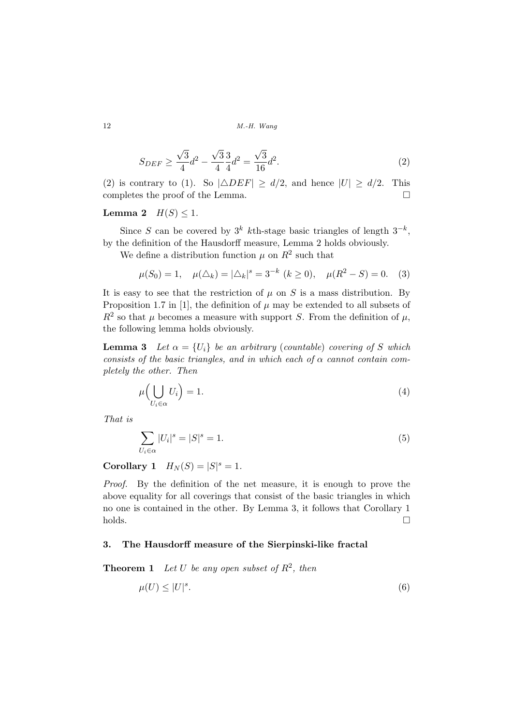$$
S_{DEF} \ge \frac{\sqrt{3}}{4}d^2 - \frac{\sqrt{3}}{4}\frac{3}{4}d^2 = \frac{\sqrt{3}}{16}d^2.
$$
 (2)

(2) is contrary to (1). So  $|\triangle DEF| \ge d/2$ , and hence  $|U| \ge d/2$ . This completes the proof of the Lemma.  $\Box$ 

## Lemma 2  $H(S) \leq 1$ .

Since S can be covered by  $3^k$  kth-stage basic triangles of length  $3^{-k}$ , by the definition of the Hausdorff measure, Lemma 2 holds obviously.

We define a distribution function  $\mu$  on  $R^2$  such that

$$
\mu(S_0) = 1, \quad \mu(\Delta_k) = |\Delta_k|^s = 3^{-k} \ (k \ge 0), \quad \mu(R^2 - S) = 0.
$$
 (3)

It is easy to see that the restriction of  $\mu$  on S is a mass distribution. By Proposition 1.7 in [1], the definition of  $\mu$  may be extended to all subsets of  $R^2$  so that  $\mu$  becomes a measure with support S. From the definition of  $\mu$ , the following lemma holds obviously.

**Lemma 3** Let  $\alpha = \{U_i\}$  be an arbitrary (countable) covering of S which consists of the basic triangles, and in which each of  $\alpha$  cannot contain completely the other. Then

$$
\mu\left(\bigcup_{U_i \in \alpha} U_i\right) = 1. \tag{4}
$$

That is

$$
\sum_{U_i \in \alpha} |U_i|^s = |S|^s = 1. \tag{5}
$$

**Corollary 1**  $H_N(S) = |S|^s = 1$ .

Proof. By the definition of the net measure, it is enough to prove the above equality for all coverings that consist of the basic triangles in which no one is contained in the other. By Lemma 3, it follows that Corollary 1  $\Box$ holds.  $\Box$ 

## 3. The Hausdorff measure of the Sierpinski-like fractal

**Theorem 1** Let U be any open subset of  $R^2$ , then

$$
\mu(U) \le |U|^s. \tag{6}
$$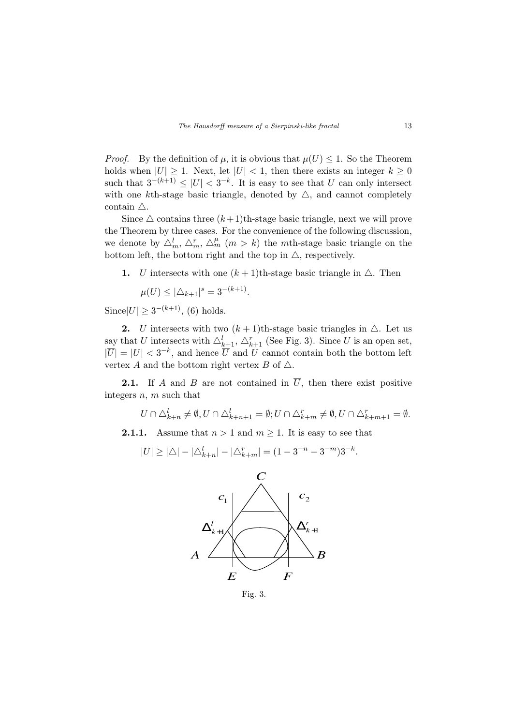*Proof.* By the definition of  $\mu$ , it is obvious that  $\mu(U) \leq 1$ . So the Theorem holds when  $|U| \geq 1$ . Next, let  $|U| < 1$ , then there exists an integer  $k \geq 0$ such that  $3^{-(k+1)} \leq |U| < 3^{-k}$ . It is easy to see that U can only intersect with one kth-stage basic triangle, denoted by  $\triangle$ , and cannot completely contain  $\triangle$ .

Since  $\triangle$  contains three  $(k+1)$ th-stage basic triangle, next we will prove the Theorem by three cases. For the convenience of the following discussion, we denote by  $\Delta_m^l$ ,  $\Delta_m^r$ ,  $\Delta_m^{\mu}$   $(m > k)$  the *mth*-stage basic triangle on the bottom left, the bottom right and the top in  $\triangle$ , respectively.

1. U intersects with one  $(k+1)$ th-stage basic triangle in  $\triangle$ . Then

$$
\mu(U) \le |\Delta_{k+1}|^s = 3^{-(k+1)}.
$$

 $\text{Since} |U| \geq 3^{-(k+1)}$ , (6) holds.

2. U intersects with two  $(k+1)$ th-stage basic triangles in  $\triangle$ . Let us say that U intersects with  $\triangle_{k+1}^l$ ,  $\triangle_{k+1}^r$  (See Fig. 3). Since U is an open set,  $|\overline{U}| = |U| < 3^{-k}$ , and hence  $\overline{U}$  and U cannot contain both the bottom left vertex A and the bottom right vertex B of  $\triangle$ .

**2.1.** If A and B are not contained in  $\overline{U}$ , then there exist positive integers n, m such that

 $U \cap \triangle_{k+n}^l \neq \emptyset, U \cap \triangle_{k+n+1}^l = \emptyset; U \cap \triangle_{k+m}^r \neq \emptyset, U \cap \triangle_{k+m+1}^r = \emptyset.$ 

**2.1.1.** Assume that  $n > 1$  and  $m \ge 1$ . It is easy to see that

$$
|U| \geq |\triangle| - |\triangle^l_{k+n}| - |\triangle^r_{k+m}| = (1 - 3^{-n} - 3^{-m})3^{-k}.
$$



Fig. 3.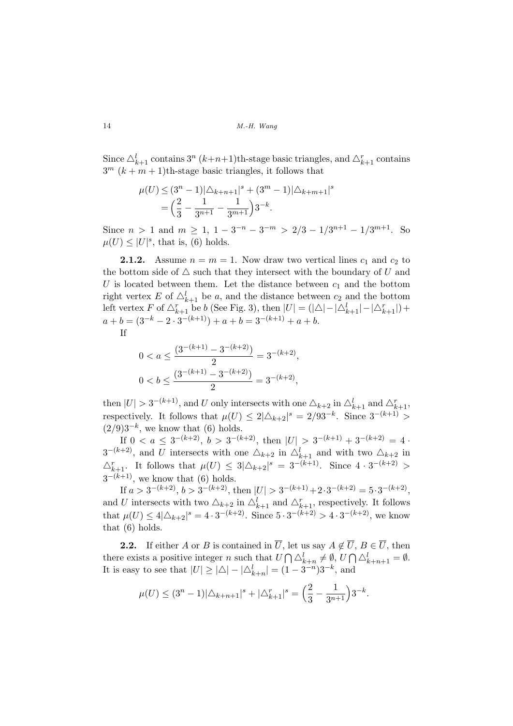Since  $\triangle_{k+1}^l$  contains  $3^n$   $(k+n+1)$ th-stage basic triangles, and  $\triangle_{k+1}^r$  contains  $3^m$   $(k + m + 1)$ th-stage basic triangles, it follows that

$$
\mu(U) \le (3^n - 1)|\Delta_{k+n+1}|^s + (3^m - 1)|\Delta_{k+m+1}|^s
$$
  
=  $\left(\frac{2}{3} - \frac{1}{3^{n+1}} - \frac{1}{3^{m+1}}\right)3^{-k}.$ 

Since  $n > 1$  and  $m \ge 1$ ,  $1 - 3^{-n} - 3^{-m} > 2/3 - 1/3^{n+1} - 1/3^{m+1}$ . So  $\mu(U) \leq |U|^s$ , that is, (6) holds.

**2.1.2.** Assume  $n = m = 1$ . Now draw two vertical lines  $c_1$  and  $c_2$  to the bottom side of  $\triangle$  such that they intersect with the boundary of U and U is located between them. Let the distance between  $c_1$  and the bottom right vertex E of  $\Delta_{k+1}^l$  be a, and the distance between  $c_2$  and the bottom left vertex F of  $\triangle_{k+1}^r$  be b (See Fig. 3), then  $|U| = (|\triangle| - |\triangle_{k+1}^l| - |\triangle_{k+1}^r|) +$  $a + b = (3^{-k} - 2 \cdot 3^{-(k+1)}) + a + b = 3^{-(k+1)} + a + b.$ If

$$
0 < a \le \frac{\left(3^{-(k+1)} - 3^{-(k+2)}\right)}{2} = 3^{-(k+2)},
$$
\n
$$
0 < b \le \frac{\left(3^{-(k+1)} - 3^{-(k+2)}\right)}{2} = 3^{-(k+2)},
$$

then  $|U| > 3^{-(k+1)}$ , and U only intersects with one  $\Delta_{k+2}$  in  $\Delta_{k+1}^l$  and  $\Delta_{k+1}^r$ , respectively. It follows that  $\mu(U) \leq 2|\Delta_{k+2}|^s = 2/93^{-k}$ . Since  $3^{-(k+1)} >$  $(2/9)3^{-k}$ , we know that (6) holds.

If  $0 < a \leq 3^{-(k+2)}$ ,  $b > 3^{-(k+2)}$ , then  $|U| > 3^{-(k+1)} + 3^{-(k+2)} = 4$ .  $3^{-(k+2)}$ , and U intersects with one  $\Delta_{k+2}$  in  $\Delta_{k+1}^l$  and with two  $\Delta_{k+2}$  in  $\Delta_{k+1}^r$ . It follows that  $\mu(U) \leq 3|\Delta_{k+2}|^s = 3^{-(k+1)}$ . Since  $4 \cdot 3^{-(k+2)} >$  $3^{-(k+1)}$ , we know that (6) holds.

If  $a > 3^{-(k+2)}$ ,  $b > 3^{-(k+2)}$ , then  $|U| > 3^{-(k+1)} + 2 \cdot 3^{-(k+2)} = 5 \cdot 3^{-(k+2)}$ , and U intersects with two  $\Delta_{k+2}$  in  $\Delta_{k+1}^l$  and  $\Delta_{k+1}^r$ , respectively. It follows that  $\mu(U) \le 4|\triangle_{k+2}|^s = 4 \cdot 3^{-(k+2)}$ . Since  $5 \cdot 3^{-(k+2)} > 4 \cdot 3^{-(k+2)}$ , we know that (6) holds.

**2.2.** If either A or B is contained in  $\overline{U}$ , let us say  $A \notin \overline{U}$ ,  $B \in \overline{U}$ , then there exists a positive integer  $n$  such that  $U$ The us say  $A \not\in$ <br> $\bigcap \triangle_{k+n}^l \neq \emptyset, U$  $\bigcap_{k+n+1} \bigcirc_{k+n+1} \emptyset$ . It is easy to see that  $|U| \ge |\triangle| - |\triangle_{k+n}^l| = (1 - 3^{-n})3^{-k}$ , and

$$
\mu(U) \le (3^n - 1)|\Delta_{k+n+1}|^s + |\Delta_{k+1}^r|^s = \left(\frac{2}{3} - \frac{1}{3^{n+1}}\right)3^{-k}.
$$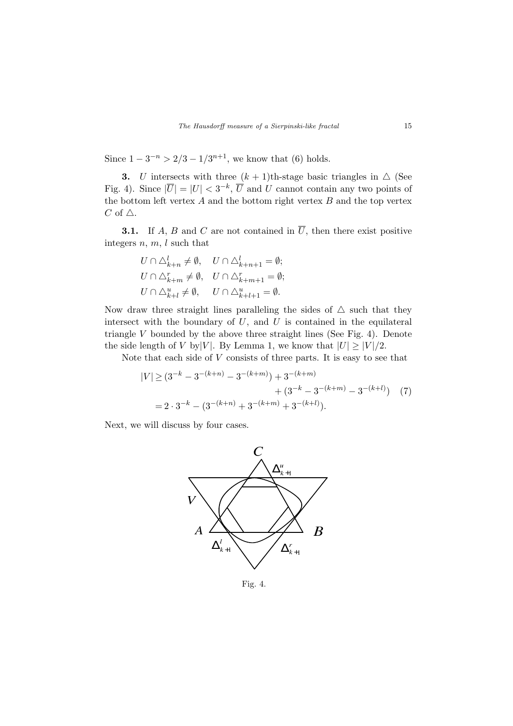Since  $1 - 3^{-n} > 2/3 - 1/3^{n+1}$ , we know that (6) holds.

3. U intersects with three  $(k + 1)$ th-stage basic triangles in  $\triangle$  (See Fig. 4). Since  $|\overline{U}| = |U| < 3^{-k}$ ,  $\overline{U}$  and U cannot contain any two points of the bottom left vertex  $A$  and the bottom right vertex  $B$  and the top vertex  $C$  of  $\triangle$ .

**3.1.** If A, B and C are not contained in  $\overline{U}$ , then there exist positive integers  $n, m, l$  such that

$$
U \cap \triangle_{k+n}^l \neq \emptyset, \quad U \cap \triangle_{k+n+1}^l = \emptyset;
$$
  
\n
$$
U \cap \triangle_{k+m}^r \neq \emptyset, \quad U \cap \triangle_{k+m+1}^r = \emptyset;
$$
  
\n
$$
U \cap \triangle_{k+l}^u \neq \emptyset, \quad U \cap \triangle_{k+l+1}^u = \emptyset.
$$

Now draw three straight lines paralleling the sides of  $\triangle$  such that they intersect with the boundary of  $U$ , and  $U$  is contained in the equilateral triangle  $V$  bounded by the above three straight lines (See Fig. 4). Denote the side length of V by|V|. By Lemma 1, we know that  $|U| \geq |V|/2$ .

Note that each side of  $V$  consists of three parts. It is easy to see that

$$
|V| \ge (3^{-k} - 3^{-(k+n)} - 3^{-(k+m)}) + 3^{-(k+m)} + (3^{-k} - 3^{-(k+m)} - 3^{-(k+l)}) \tag{7}
$$
  
=  $2 \cdot 3^{-k} - (3^{-(k+n)} + 3^{-(k+m)} + 3^{-(k+l)}).$ 

Next, we will discuss by four cases.



Fig. 4.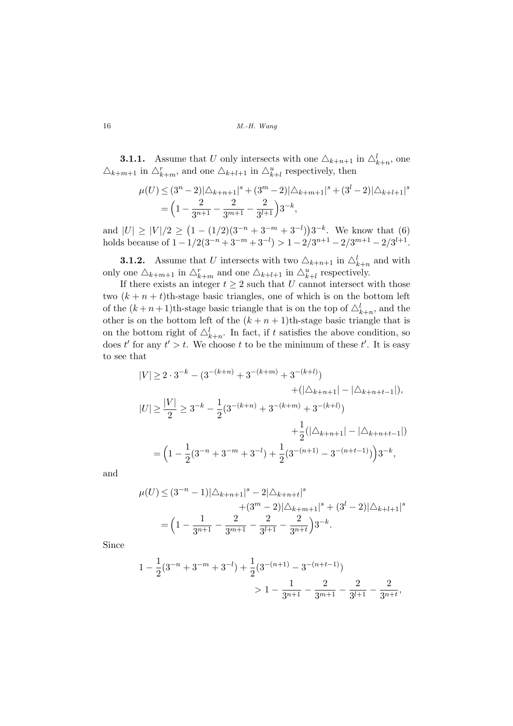**3.1.1.** Assume that U only intersects with one  $\Delta_{k+n+1}$  in  $\Delta_{k+n}^l$ , one  $\Delta_{k+m+1}$  in  $\Delta_{k+m}^r$ , and one  $\Delta_{k+l+1}$  in  $\Delta_{k+l}^u$  respectively, then

$$
\mu(U) \le (3^n - 2)|\triangle_{k+n+1}|^s + (3^m - 2)|\triangle_{k+m+1}|^s + (3^l - 2)|\triangle_{k+l+1}|^s
$$
  
=  $\left(1 - \frac{2}{3^{n+1}} - \frac{2}{3^{m+1}} - \frac{2}{3^{l+1}}\right)3^{-k},$ 

and  $|U| \geq |V|/2 \geq$  $(1 - (1/2)(3^{-n} + 3^{-m} + 3^{-l})$ ¢  $3^{-k}$ . We know that (6) holds because of  $1 - 1/2(3^{-n} + 3^{-m} + 3^{-l}) > 1 - 2/3^{n+1} - 2/3^{m+1} - 2/3^{l+1}$ .

**3.1.2.** Assume that U intersects with two  $\Delta_{k+n+1}$  in  $\Delta_{k+n}^l$  and with only one  $\Delta_{k+m+1}$  in  $\Delta_{k+m}^r$  and one  $\Delta_{k+l+1}$  in  $\Delta_{k+l}^u$  respectively.

If there exists an integer  $t \geq 2$  such that U cannot intersect with those two  $(k + n + t)$ th-stage basic triangles, one of which is on the bottom left of the  $(k+n+1)$ <sup>th</sup>-stage basic triangle that is on the top of  $\Delta^l_{k+n}$ , and the other is on the bottom left of the  $(k + n + 1)$ th-stage basic triangle that is on the bottom right of  $\Delta_{k+n}^l$ . In fact, if t satisfies the above condition, so does t' for any  $t' > t$ . We choose t to be the minimum of these t'. It is easy to see that

$$
|V| \ge 2 \cdot 3^{-k} - (3^{-(k+n)} + 3^{-(k+m)} + 3^{-(k+l)})
$$
  
+(| $\triangle_{k+n+1}$ | - | $\triangle_{k+n+t-1}$ |),  

$$
|U| \ge \frac{|V|}{2} \ge 3^{-k} - \frac{1}{2} (3^{-(k+n)} + 3^{-(k+m)} + 3^{-(k+l)})
$$
  

$$
+ \frac{1}{2} (|\triangle_{k+n+1}| - |\triangle_{k+n+t-1}|)
$$
  

$$
= \left(1 - \frac{1}{2} (3^{-n} + 3^{-m} + 3^{-l}) + \frac{1}{2} (3^{-(n+1)} - 3^{-(n+t-1)})\right) 3^{-k},
$$

and

$$
\mu(U) \le (3^{-n} - 1)|\Delta_{k+n+1}|^s - 2|\Delta_{k+n+t}|^s
$$
  
 
$$
+ (3^m - 2)|\Delta_{k+m+1}|^s + (3^l - 2)|\Delta_{k+l+1}|^s
$$
  

$$
= \left(1 - \frac{1}{3^{n+1}} - \frac{2}{3^{n+1}} - \frac{2}{3^{l+1}} - \frac{2}{3^{n+t}}\right)3^{-k}.
$$

Since

$$
\begin{aligned} 1 - \frac{1}{2} (3^{-n} + 3^{-m} + 3^{-l}) + \frac{1}{2} (3^{-(n+1)} - 3^{-(n+l-1)}) \\ &\quad > 1 - \frac{1}{3^{n+1}} - \frac{2}{3^{m+1}} - \frac{2}{3^{l+1}} - \frac{2}{3^{n+l}}, \end{aligned}
$$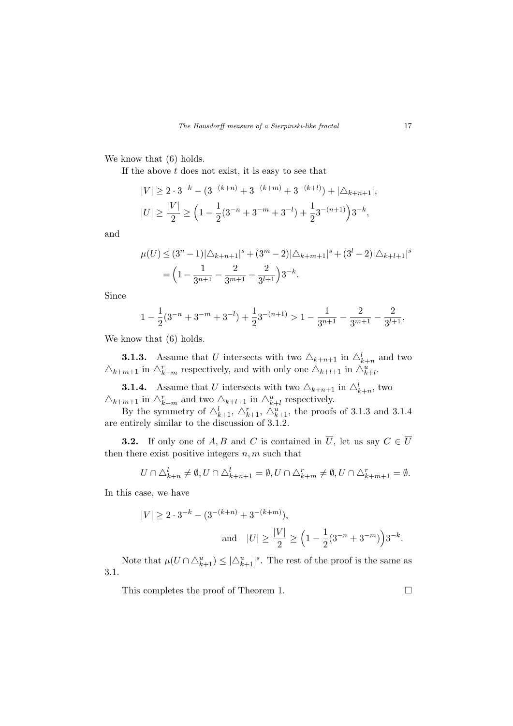We know that  $(6)$  holds.

If the above  $t$  does not exist, it is easy to see that

$$
|V| \ge 2 \cdot 3^{-k} - (3^{-(k+n)} + 3^{-(k+m)} + 3^{-(k+l)}) + |\triangle_{k+n+1}|,
$$
  

$$
|U| \ge \frac{|V|}{2} \ge \left(1 - \frac{1}{2}(3^{-n} + 3^{-m} + 3^{-l}) + \frac{1}{2}3^{-(n+1)}\right)3^{-k},
$$

and

$$
\mu(U) \le (3^n - 1)|\triangle_{k+n+1}|^s + (3^m - 2)|\triangle_{k+m+1}|^s + (3^l - 2)|\triangle_{k+l+1}|^s
$$
  
=  $\left(1 - \frac{1}{3^{n+1}} - \frac{2}{3^{m+1}} - \frac{2}{3^{l+1}}\right)3^{-k}.$ 

Since

$$
1 - \frac{1}{2}(3^{-n} + 3^{-m} + 3^{-l}) + \frac{1}{2}3^{-(n+1)} > 1 - \frac{1}{3^{n+1}} - \frac{2}{3^{m+1}} - \frac{2}{3^{l+1}},
$$

We know that  $(6)$  holds.

**3.1.3.** Assume that U intersects with two  $\Delta_{k+n+1}$  in  $\Delta_{k+n}^l$  and two  $\Delta_{k+m+1}$  in  $\Delta_{k+m}^r$  respectively, and with only one  $\Delta_{k+l+1}$  in  $\Delta_{k+l}^u$ .

**3.1.4.** Assume that U intersects with two  $\Delta_{k+n+1}$  in  $\Delta_{k+n}^l$ , two  $\triangle_{k+m+1}$  in  $\triangle_{k+m}^r$  and two  $\triangle_{k+l+1}$  in  $\triangle_{k+l}^u$  respectively.

By the symmetry of  $\triangle_{k+1}^l$ ,  $\triangle_{k+1}^r$ ,  $\triangle_{k+1}^u$ , the proofs of 3.1.3 and 3.1.4 are entirely similar to the discussion of 3.1.2.

**3.2.** If only one of A, B and C is contained in  $\overline{U}$ , let us say  $C \in \overline{U}$ then there exist positive integers  $n, m$  such that

$$
U \cap \triangle_{k+n}^l \neq \emptyset, U \cap \triangle_{k+n+1}^l = \emptyset, U \cap \triangle_{k+m}^r \neq \emptyset, U \cap \triangle_{k+m+1}^r = \emptyset.
$$

In this case, we have

$$
|V| \ge 2 \cdot 3^{-k} - (3^{-(k+n)} + 3^{-(k+m)}),
$$
  
and 
$$
|U| \ge \frac{|V|}{2} \ge \left(1 - \frac{1}{2}(3^{-n} + 3^{-m})\right)3^{-k}.
$$

Note that  $\mu(U \cap \Delta_{k+1}^u) \leq |\Delta_{k+1}^u|^s$ . The rest of the proof is the same as 3.1.

This completes the proof of Theorem 1.  $\Box$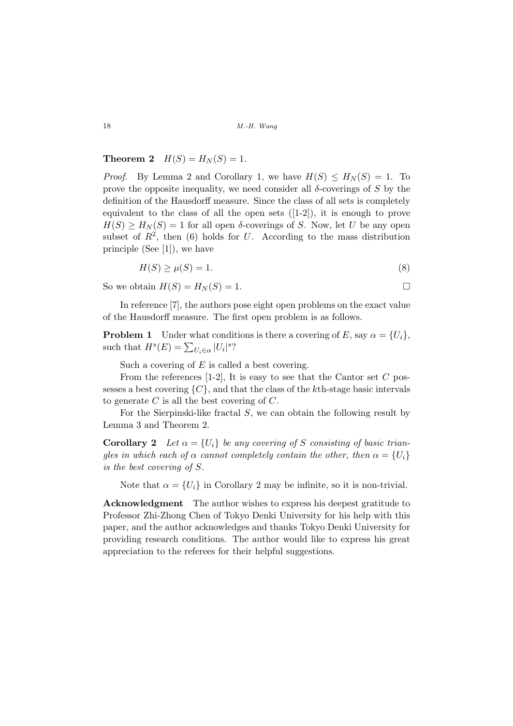## Theorem 2  $H(S) = H<sub>N</sub>(S) = 1$ .

*Proof.* By Lemma 2 and Corollary 1, we have  $H(S) \leq H_N(S) = 1$ . To prove the opposite inequality, we need consider all  $\delta$ -coverings of S by the definition of the Hausdorff measure. Since the class of all sets is completely equivalent to the class of all the open sets ([1-2]), it is enough to prove  $H(S) \geq H_N(S) = 1$  for all open  $\delta$ -coverings of S. Now, let U be any open subset of  $R^2$ , then (6) holds for U. According to the mass distribution principle (See [1]), we have

$$
H(S) \ge \mu(S) = 1. \tag{8}
$$

So we obtain  $H(S) = H_N(S) = 1$ .

In reference [7], the authors pose eight open problems on the exact value of the Hausdorff measure. The first open problem is as follows.

**Problem 1** Under what conditions is there a covering of E, say  $\alpha = \{U_i\}$ , such that  $H^s(E) = \sum_{U_i \in \alpha} |U_i|^s$ ?

Such a covering of  $E$  is called a best covering.

From the references  $[1-2]$ , It is easy to see that the Cantor set C possesses a best covering  $\{C\}$ , and that the class of the kth-stage basic intervals to generate  $C$  is all the best covering of  $C$ .

For the Sierpinski-like fractal S, we can obtain the following result by Lemma 3 and Theorem 2.

**Corollary 2** Let  $\alpha = \{U_i\}$  be any covering of S consisting of basic triangles in which each of  $\alpha$  cannot completely contain the other, then  $\alpha = \{U_i\}$ is the best covering of S.

Note that  $\alpha = \{U_i\}$  in Corollary 2 may be infinite, so it is non-trivial.

Acknowledgment The author wishes to express his deepest gratitude to Professor Zhi-Zhong Chen of Tokyo Denki University for his help with this paper, and the author acknowledges and thanks Tokyo Denki University for providing research conditions. The author would like to express his great appreciation to the referees for their helpful suggestions.